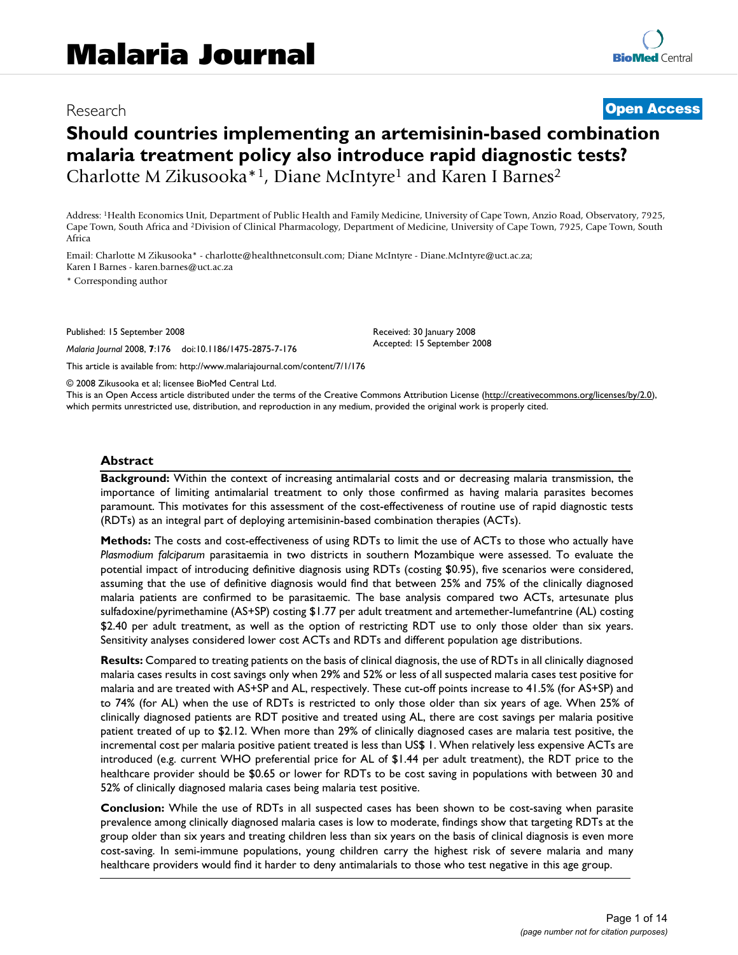# Research **[Open Access](http://www.biomedcentral.com/info/about/charter/)**

# **Should countries implementing an artemisinin-based combination malaria treatment policy also introduce rapid diagnostic tests?** Charlotte M Zikusooka\*1, Diane McIntyre1 and Karen I Barnes2

Address: 1Health Economics Unit, Department of Public Health and Family Medicine, University of Cape Town, Anzio Road, Observatory, 7925, Cape Town, South Africa and 2Division of Clinical Pharmacology, Department of Medicine, University of Cape Town, 7925, Cape Town, South Africa

Email: Charlotte M Zikusooka\* - charlotte@healthnetconsult.com; Diane McIntyre - Diane.McIntyre@uct.ac.za; Karen I Barnes - karen.barnes@uct.ac.za

\* Corresponding author

Published: 15 September 2008

*Malaria Journal* 2008, **7**:176 doi:10.1186/1475-2875-7-176

[This article is available from: http://www.malariajournal.com/content/7/1/176](http://www.malariajournal.com/content/7/1/176)

Received: 30 January 2008 Accepted: 15 September 2008

© 2008 Zikusooka et al; licensee BioMed Central Ltd.

This is an Open Access article distributed under the terms of the Creative Commons Attribution License [\(http://creativecommons.org/licenses/by/2.0\)](http://creativecommons.org/licenses/by/2.0), which permits unrestricted use, distribution, and reproduction in any medium, provided the original work is properly cited.

#### **Abstract**

**Background:** Within the context of increasing antimalarial costs and or decreasing malaria transmission, the importance of limiting antimalarial treatment to only those confirmed as having malaria parasites becomes paramount. This motivates for this assessment of the cost-effectiveness of routine use of rapid diagnostic tests (RDTs) as an integral part of deploying artemisinin-based combination therapies (ACTs).

**Methods:** The costs and cost-effectiveness of using RDTs to limit the use of ACTs to those who actually have *Plasmodium falciparum* parasitaemia in two districts in southern Mozambique were assessed. To evaluate the potential impact of introducing definitive diagnosis using RDTs (costing \$0.95), five scenarios were considered, assuming that the use of definitive diagnosis would find that between 25% and 75% of the clinically diagnosed malaria patients are confirmed to be parasitaemic. The base analysis compared two ACTs, artesunate plus sulfadoxine/pyrimethamine (AS+SP) costing \$1.77 per adult treatment and artemether-lumefantrine (AL) costing \$2.40 per adult treatment, as well as the option of restricting RDT use to only those older than six years. Sensitivity analyses considered lower cost ACTs and RDTs and different population age distributions.

**Results:** Compared to treating patients on the basis of clinical diagnosis, the use of RDTs in all clinically diagnosed malaria cases results in cost savings only when 29% and 52% or less of all suspected malaria cases test positive for malaria and are treated with AS+SP and AL, respectively. These cut-off points increase to 41.5% (for AS+SP) and to 74% (for AL) when the use of RDTs is restricted to only those older than six years of age. When 25% of clinically diagnosed patients are RDT positive and treated using AL, there are cost savings per malaria positive patient treated of up to \$2.12. When more than 29% of clinically diagnosed cases are malaria test positive, the incremental cost per malaria positive patient treated is less than US\$ 1. When relatively less expensive ACTs are introduced (e.g. current WHO preferential price for AL of \$1.44 per adult treatment), the RDT price to the healthcare provider should be \$0.65 or lower for RDTs to be cost saving in populations with between 30 and 52% of clinically diagnosed malaria cases being malaria test positive.

**Conclusion:** While the use of RDTs in all suspected cases has been shown to be cost-saving when parasite prevalence among clinically diagnosed malaria cases is low to moderate, findings show that targeting RDTs at the group older than six years and treating children less than six years on the basis of clinical diagnosis is even more cost-saving. In semi-immune populations, young children carry the highest risk of severe malaria and many healthcare providers would find it harder to deny antimalarials to those who test negative in this age group.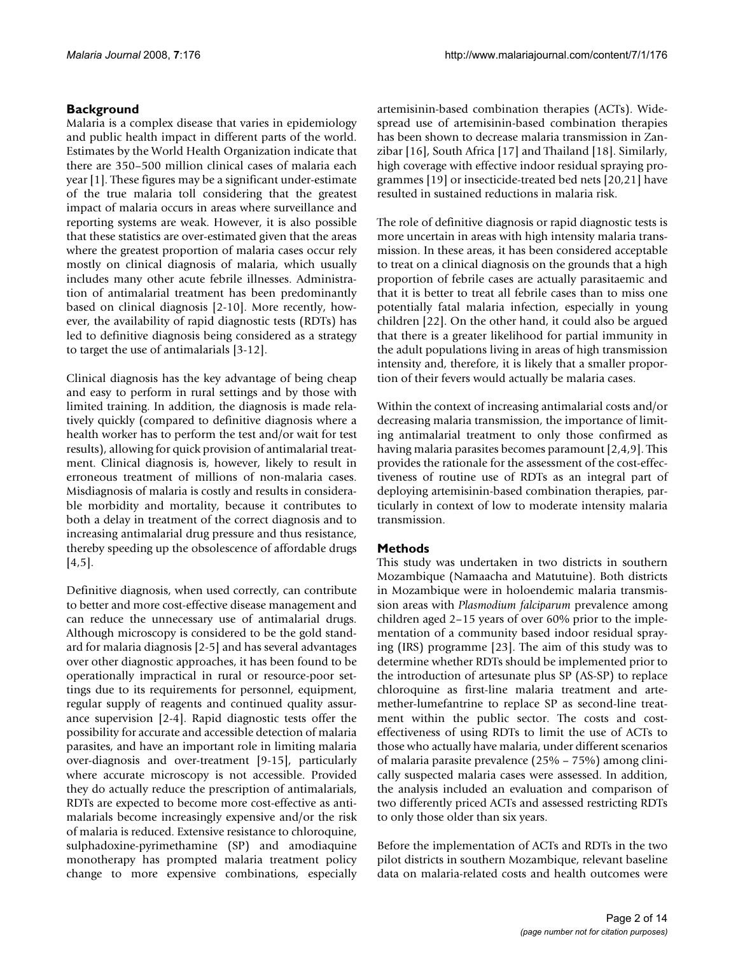# **Background**

Malaria is a complex disease that varies in epidemiology and public health impact in different parts of the world. Estimates by the World Health Organization indicate that there are 350–500 million clinical cases of malaria each year [1]. These figures may be a significant under-estimate of the true malaria toll considering that the greatest impact of malaria occurs in areas where surveillance and reporting systems are weak. However, it is also possible that these statistics are over-estimated given that the areas where the greatest proportion of malaria cases occur rely mostly on clinical diagnosis of malaria, which usually includes many other acute febrile illnesses. Administration of antimalarial treatment has been predominantly based on clinical diagnosis [2-10]. More recently, however, the availability of rapid diagnostic tests (RDTs) has led to definitive diagnosis being considered as a strategy to target the use of antimalarials [3-12].

Clinical diagnosis has the key advantage of being cheap and easy to perform in rural settings and by those with limited training. In addition, the diagnosis is made relatively quickly (compared to definitive diagnosis where a health worker has to perform the test and/or wait for test results), allowing for quick provision of antimalarial treatment. Clinical diagnosis is, however, likely to result in erroneous treatment of millions of non-malaria cases. Misdiagnosis of malaria is costly and results in considerable morbidity and mortality, because it contributes to both a delay in treatment of the correct diagnosis and to increasing antimalarial drug pressure and thus resistance, thereby speeding up the obsolescence of affordable drugs [4,5].

Definitive diagnosis, when used correctly, can contribute to better and more cost-effective disease management and can reduce the unnecessary use of antimalarial drugs. Although microscopy is considered to be the gold standard for malaria diagnosis [2-5] and has several advantages over other diagnostic approaches, it has been found to be operationally impractical in rural or resource-poor settings due to its requirements for personnel, equipment, regular supply of reagents and continued quality assurance supervision [2-4]. Rapid diagnostic tests offer the possibility for accurate and accessible detection of malaria parasites, and have an important role in limiting malaria over-diagnosis and over-treatment [9-15], particularly where accurate microscopy is not accessible. Provided they do actually reduce the prescription of antimalarials, RDTs are expected to become more cost-effective as antimalarials become increasingly expensive and/or the risk of malaria is reduced. Extensive resistance to chloroquine, sulphadoxine-pyrimethamine (SP) and amodiaquine monotherapy has prompted malaria treatment policy change to more expensive combinations, especially artemisinin-based combination therapies (ACTs). Widespread use of artemisinin-based combination therapies has been shown to decrease malaria transmission in Zanzibar [16], South Africa [17] and Thailand [18]. Similarly, high coverage with effective indoor residual spraying programmes [19] or insecticide-treated bed nets [20,21] have resulted in sustained reductions in malaria risk.

The role of definitive diagnosis or rapid diagnostic tests is more uncertain in areas with high intensity malaria transmission. In these areas, it has been considered acceptable to treat on a clinical diagnosis on the grounds that a high proportion of febrile cases are actually parasitaemic and that it is better to treat all febrile cases than to miss one potentially fatal malaria infection, especially in young children [22]. On the other hand, it could also be argued that there is a greater likelihood for partial immunity in the adult populations living in areas of high transmission intensity and, therefore, it is likely that a smaller proportion of their fevers would actually be malaria cases.

Within the context of increasing antimalarial costs and/or decreasing malaria transmission, the importance of limiting antimalarial treatment to only those confirmed as having malaria parasites becomes paramount [2,4,9]. This provides the rationale for the assessment of the cost-effectiveness of routine use of RDTs as an integral part of deploying artemisinin-based combination therapies, particularly in context of low to moderate intensity malaria transmission.

# **Methods**

This study was undertaken in two districts in southern Mozambique (Namaacha and Matutuine). Both districts in Mozambique were in holoendemic malaria transmission areas with *Plasmodium falciparum* prevalence among children aged 2–15 years of over 60% prior to the implementation of a community based indoor residual spraying (IRS) programme [23]. The aim of this study was to determine whether RDTs should be implemented prior to the introduction of artesunate plus SP (AS-SP) to replace chloroquine as first-line malaria treatment and artemether-lumefantrine to replace SP as second-line treatment within the public sector. The costs and costeffectiveness of using RDTs to limit the use of ACTs to those who actually have malaria, under different scenarios of malaria parasite prevalence (25% – 75%) among clinically suspected malaria cases were assessed. In addition, the analysis included an evaluation and comparison of two differently priced ACTs and assessed restricting RDTs to only those older than six years.

Before the implementation of ACTs and RDTs in the two pilot districts in southern Mozambique, relevant baseline data on malaria-related costs and health outcomes were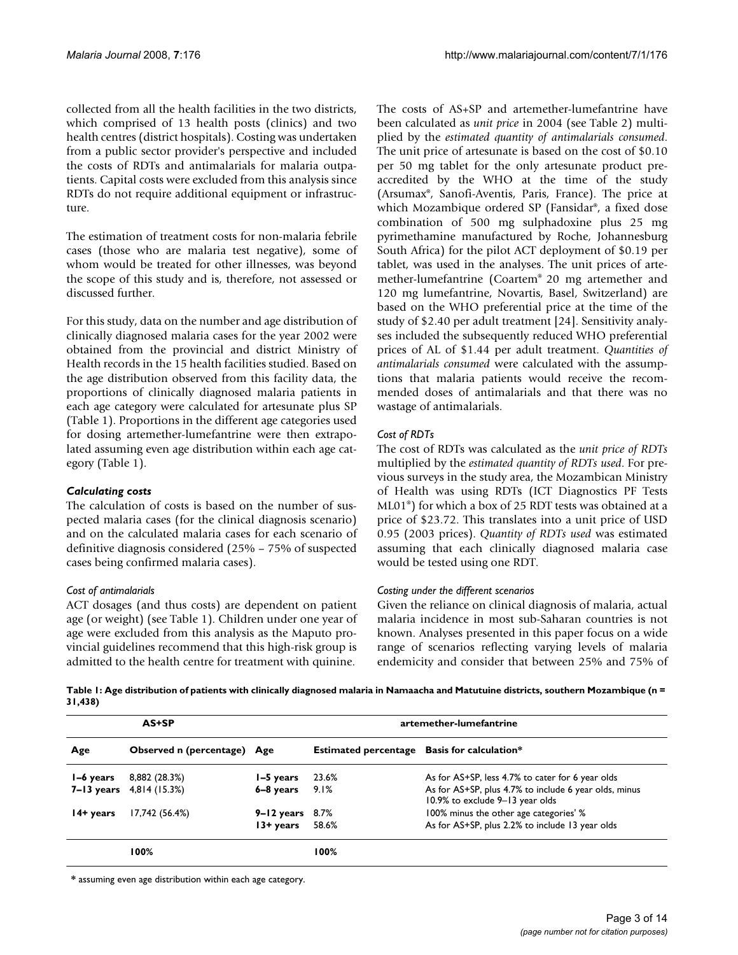collected from all the health facilities in the two districts, which comprised of 13 health posts (clinics) and two health centres (district hospitals). Costing was undertaken from a public sector provider's perspective and included the costs of RDTs and antimalarials for malaria outpatients. Capital costs were excluded from this analysis since RDTs do not require additional equipment or infrastructure.

The estimation of treatment costs for non-malaria febrile cases (those who are malaria test negative), some of whom would be treated for other illnesses, was beyond the scope of this study and is, therefore, not assessed or discussed further.

For this study, data on the number and age distribution of clinically diagnosed malaria cases for the year 2002 were obtained from the provincial and district Ministry of Health records in the 15 health facilities studied. Based on the age distribution observed from this facility data, the proportions of clinically diagnosed malaria patients in each age category were calculated for artesunate plus SP (Table 1). Proportions in the different age categories used for dosing artemether-lumefantrine were then extrapolated assuming even age distribution within each age category (Table 1).

#### *Calculating costs*

The calculation of costs is based on the number of suspected malaria cases (for the clinical diagnosis scenario) and on the calculated malaria cases for each scenario of definitive diagnosis considered (25% – 75% of suspected cases being confirmed malaria cases).

#### *Cost of antimalarials*

ACT dosages (and thus costs) are dependent on patient age (or weight) (see Table 1). Children under one year of age were excluded from this analysis as the Maputo provincial guidelines recommend that this high-risk group is admitted to the health centre for treatment with quinine.

The costs of AS+SP and artemether-lumefantrine have been calculated as *unit price* in 2004 (see Table 2) multiplied by the *estimated quantity of antimalarials consumed*. The unit price of artesunate is based on the cost of \$0.10 per 50 mg tablet for the only artesunate product preaccredited by the WHO at the time of the study (Arsumax®, Sanofi-Aventis, Paris, France). The price at which Mozambique ordered SP (Fansidar®, a fixed dose combination of 500 mg sulphadoxine plus 25 mg pyrimethamine manufactured by Roche, Johannesburg South Africa) for the pilot ACT deployment of \$0.19 per tablet, was used in the analyses. The unit prices of artemether-lumefantrine (Coartem® 20 mg artemether and 120 mg lumefantrine, Novartis, Basel, Switzerland) are based on the WHO preferential price at the time of the study of \$2.40 per adult treatment [24]. Sensitivity analyses included the subsequently reduced WHO preferential prices of AL of \$1.44 per adult treatment. *Quantities of antimalarials consumed* were calculated with the assumptions that malaria patients would receive the recommended doses of antimalarials and that there was no wastage of antimalarials.

### *Cost of RDTs*

The cost of RDTs was calculated as the *unit price of RDTs* multiplied by the *estimated quantity of RDTs used*. For previous surveys in the study area, the Mozambican Ministry of Health was using RDTs (ICT Diagnostics PF Tests ML01®) for which a box of 25 RDT tests was obtained at a price of \$23.72. This translates into a unit price of USD 0.95 (2003 prices). *Quantity of RDTs used* was estimated assuming that each clinically diagnosed malaria case would be tested using one RDT.

#### *Costing under the different scenarios*

Given the reliance on clinical diagnosis of malaria, actual malaria incidence in most sub-Saharan countries is not known. Analyses presented in this paper focus on a wide range of scenarios reflecting varying levels of malaria endemicity and consider that between 25% and 75% of

**Table 1: Age distribution of patients with clinically diagnosed malaria in Namaacha and Matutuine districts, southern Mozambique (n = 31,438)**

| AS+SP     |                                   |                       | artemether-lumefantrine                     |                                                                                          |  |  |
|-----------|-----------------------------------|-----------------------|---------------------------------------------|------------------------------------------------------------------------------------------|--|--|
| Age       | Observed n (percentage) Age       |                       | Estimated percentage Basis for calculation* |                                                                                          |  |  |
| l-6 years | 8,882 (28.3%)                     | I-5 years             | 23.6%                                       | As for AS+SP, less 4.7% to cater for 6 year olds                                         |  |  |
|           | <b>7-13 years</b> $4,814$ (15.3%) | $6-8$ years           | 9.1%                                        | As for AS+SP, plus 4.7% to include 6 year olds, minus<br>10.9% to exclude 9-13 year olds |  |  |
| 14+ years | 17,742 (56.4%)                    | $9 - 12$ years $8.7%$ |                                             | 100% minus the other age categories' %                                                   |  |  |
|           |                                   | 13+ years             | 58.6%                                       | As for AS+SP, plus 2.2% to include 13 year olds                                          |  |  |
|           | 100%                              |                       | 100%                                        |                                                                                          |  |  |

**\*** assuming even age distribution within each age category.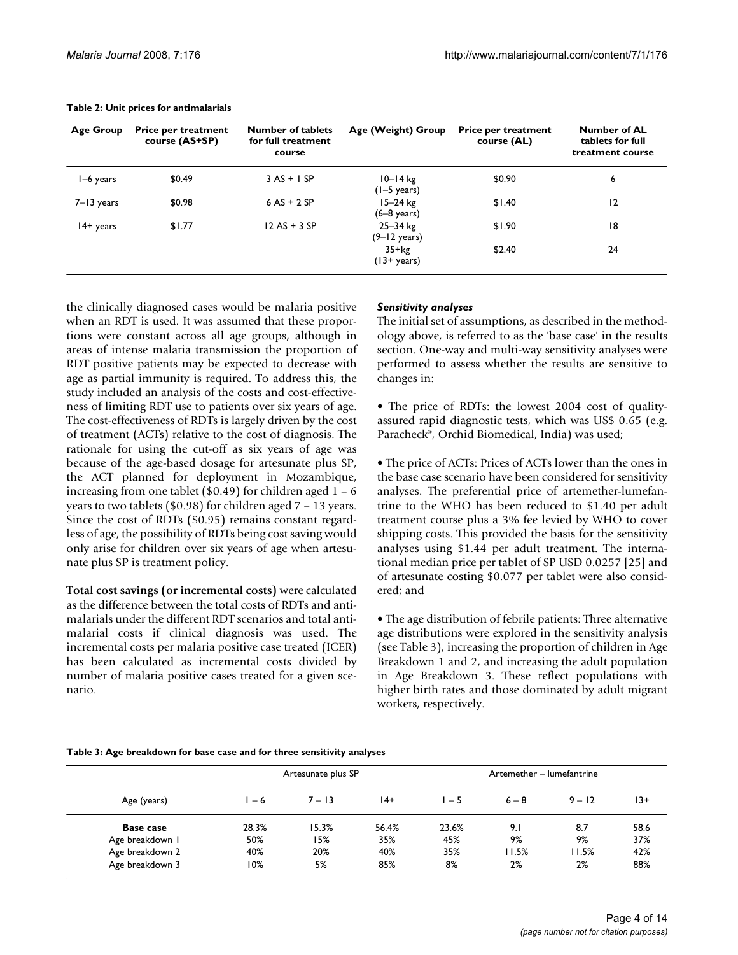| Age Group      | <b>Price per treatment</b><br>course (AS+SP) | <b>Number of tablets</b><br>for full treatment<br>course | Age (Weight) Group                     | <b>Price per treatment</b><br>course (AL) | <b>Number of AL</b><br>tablets for full<br>treatment course |
|----------------|----------------------------------------------|----------------------------------------------------------|----------------------------------------|-------------------------------------------|-------------------------------------------------------------|
| $I-6$ years    | \$0.49                                       | $3 AS + 1 SP$                                            | $10 - 14$ kg<br>$(1-5 \text{ years})$  | \$0.90                                    | 6                                                           |
| $7 - 13$ years | \$0.98                                       | $6AS + 2SP$                                              | $15-24$ kg<br>$(6-8 \text{ years})$    | \$1.40                                    | 12                                                          |
| $14+ years$    | \$1.77                                       | $12 AS + 3 SP$                                           | $25 - 34$ kg<br>$(9-12 \text{ years})$ | \$1.90                                    | 18                                                          |
|                |                                              |                                                          | $35+kg$<br>$(13 + \text{years})$       | \$2.40                                    | 24                                                          |

#### **Table 2: Unit prices for antimalarials**

the clinically diagnosed cases would be malaria positive when an RDT is used. It was assumed that these proportions were constant across all age groups, although in areas of intense malaria transmission the proportion of RDT positive patients may be expected to decrease with age as partial immunity is required. To address this, the study included an analysis of the costs and cost-effectiveness of limiting RDT use to patients over six years of age. The cost-effectiveness of RDTs is largely driven by the cost of treatment (ACTs) relative to the cost of diagnosis. The rationale for using the cut-off as six years of age was because of the age-based dosage for artesunate plus SP, the ACT planned for deployment in Mozambique, increasing from one tablet (\$0.49) for children aged  $1 - 6$ years to two tablets (\$0.98) for children aged 7 – 13 years. Since the cost of RDTs (\$0.95) remains constant regardless of age, the possibility of RDTs being cost saving would only arise for children over six years of age when artesunate plus SP is treatment policy.

**Total cost savings (or incremental costs)** were calculated as the difference between the total costs of RDTs and antimalarials under the different RDT scenarios and total antimalarial costs if clinical diagnosis was used. The incremental costs per malaria positive case treated (ICER) has been calculated as incremental costs divided by number of malaria positive cases treated for a given scenario.

#### *Sensitivity analyses*

The initial set of assumptions, as described in the methodology above, is referred to as the 'base case' in the results section. One-way and multi-way sensitivity analyses were performed to assess whether the results are sensitive to changes in:

• The price of RDTs: the lowest 2004 cost of qualityassured rapid diagnostic tests, which was US\$ 0.65 (e.g. Paracheck®, Orchid Biomedical, India) was used;

• The price of ACTs: Prices of ACTs lower than the ones in the base case scenario have been considered for sensitivity analyses. The preferential price of artemether-lumefantrine to the WHO has been reduced to \$1.40 per adult treatment course plus a 3% fee levied by WHO to cover shipping costs. This provided the basis for the sensitivity analyses using \$1.44 per adult treatment. The international median price per tablet of SP USD 0.0257 [25] and of artesunate costing \$0.077 per tablet were also considered; and

• The age distribution of febrile patients: Three alternative age distributions were explored in the sensitivity analysis (see Table 3), increasing the proportion of children in Age Breakdown 1 and 2, and increasing the adult population in Age Breakdown 3. These reflect populations with higher birth rates and those dominated by adult migrant workers, respectively.

#### **Table 3: Age breakdown for base case and for three sensitivity analyses**

|                  | Artesunate plus SP |          |       | Artemether - lumefantrine |         |          |       |
|------------------|--------------------|----------|-------|---------------------------|---------|----------|-------|
| Age (years)      | $-6$               | $7 - 13$ | $14+$ | $1 - 5$                   | $6 - 8$ | $9 - 12$ | $13+$ |
| <b>Base case</b> | 28.3%              | 15.3%    | 56.4% | 23.6%                     | 9.1     | 8.7      | 58.6  |
| Age breakdown I  | 50%                | 15%      | 35%   | 45%                       | 9%      | 9%       | 37%   |
| Age breakdown 2  | 40%                | 20%      | 40%   | 35%                       | 11.5%   | 11.5%    | 42%   |
| Age breakdown 3  | 10%                | 5%       | 85%   | 8%                        | 2%      | 2%       | 88%   |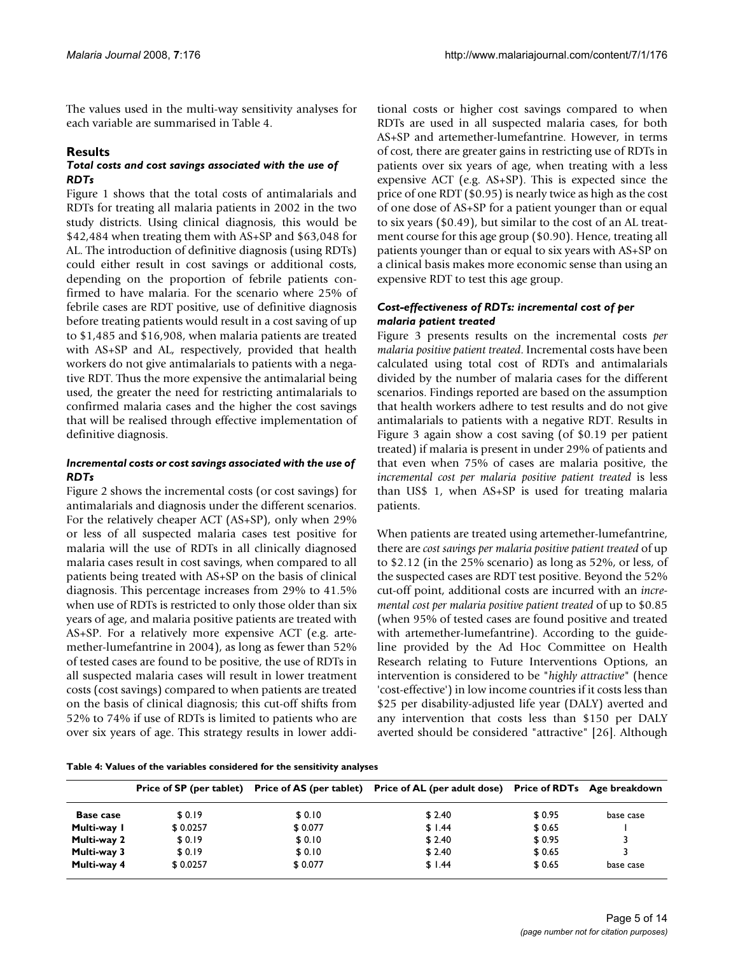The values used in the multi-way sensitivity analyses for each variable are summarised in Table 4.

### **Results**

#### *Total costs and cost savings associated with the use of RDTs*

Figure 1 shows that the total costs of antimalarials and RDTs for treating all malaria patients in 2002 in the two study districts. Using clinical diagnosis, this would be \$42,484 when treating them with AS+SP and \$63,048 for AL. The introduction of definitive diagnosis (using RDTs) could either result in cost savings or additional costs, depending on the proportion of febrile patients confirmed to have malaria. For the scenario where 25% of febrile cases are RDT positive, use of definitive diagnosis before treating patients would result in a cost saving of up to \$1,485 and \$16,908, when malaria patients are treated with AS+SP and AL, respectively, provided that health workers do not give antimalarials to patients with a negative RDT. Thus the more expensive the antimalarial being used, the greater the need for restricting antimalarials to confirmed malaria cases and the higher the cost savings that will be realised through effective implementation of definitive diagnosis.

#### *Incremental costs or cost savings associated with the use of RDTs*

Figure 2 shows the incremental costs (or cost savings) for antimalarials and diagnosis under the different scenarios. For the relatively cheaper ACT (AS+SP), only when 29% or less of all suspected malaria cases test positive for malaria will the use of RDTs in all clinically diagnosed malaria cases result in cost savings, when compared to all patients being treated with AS+SP on the basis of clinical diagnosis. This percentage increases from 29% to 41.5% when use of RDTs is restricted to only those older than six years of age, and malaria positive patients are treated with AS+SP. For a relatively more expensive ACT (e.g. artemether-lumefantrine in 2004), as long as fewer than 52% of tested cases are found to be positive, the use of RDTs in all suspected malaria cases will result in lower treatment costs (cost savings) compared to when patients are treated on the basis of clinical diagnosis; this cut-off shifts from 52% to 74% if use of RDTs is limited to patients who are over six years of age. This strategy results in lower additional costs or higher cost savings compared to when RDTs are used in all suspected malaria cases, for both AS+SP and artemether-lumefantrine. However, in terms of cost, there are greater gains in restricting use of RDTs in patients over six years of age, when treating with a less expensive ACT (e.g. AS+SP). This is expected since the price of one RDT (\$0.95) is nearly twice as high as the cost of one dose of AS+SP for a patient younger than or equal to six years (\$0.49), but similar to the cost of an AL treatment course for this age group (\$0.90). Hence, treating all patients younger than or equal to six years with AS+SP on a clinical basis makes more economic sense than using an expensive RDT to test this age group.

#### *Cost-effectiveness of RDTs: incremental cost of per malaria patient treated*

Figure 3 presents results on the incremental costs *per malaria positive patient treated*. Incremental costs have been calculated using total cost of RDTs and antimalarials divided by the number of malaria cases for the different scenarios. Findings reported are based on the assumption that health workers adhere to test results and do not give antimalarials to patients with a negative RDT. Results in Figure 3 again show a cost saving (of \$0.19 per patient treated) if malaria is present in under 29% of patients and that even when 75% of cases are malaria positive, the *incremental cost per malaria positive patient treated* is less than US\$ 1, when AS+SP is used for treating malaria patients.

When patients are treated using artemether-lumefantrine, there are *cost savings per malaria positive patient treated* of up to \$2.12 (in the 25% scenario) as long as 52%, or less, of the suspected cases are RDT test positive. Beyond the 52% cut-off point, additional costs are incurred with an *incremental cost per malaria positive patient treated* of up to \$0.85 (when 95% of tested cases are found positive and treated with artemether-lumefantrine). According to the guideline provided by the Ad Hoc Committee on Health Research relating to Future Interventions Options, an intervention is considered to be "*highly attractive*" (hence 'cost-effective') in low income countries if it costs less than \$25 per disability-adjusted life year (DALY) averted and any intervention that costs less than \$150 per DALY averted should be considered "attractive" [26]. Although

**Table 4: Values of the variables considered for the sensitivity analyses**

|                  |          |          | Price of SP (per tablet) Price of AS (per tablet) Price of AL (per adult dose) Price of RDTs Age breakdown |         |           |
|------------------|----------|----------|------------------------------------------------------------------------------------------------------------|---------|-----------|
| <b>Base case</b> | \$ 0.19  | \$0.10   | \$2.40                                                                                                     | \$0.95  | base case |
| Multi-way I      | \$0.0257 | \$ 0.077 | \$1.44                                                                                                     | \$0.65  |           |
| Multi-way 2      | \$0.19   | \$0.10   | \$ 2.40                                                                                                    | \$0.95  |           |
| Multi-way 3      | \$0.19   | \$0.10   | \$ 2.40                                                                                                    | \$0.65  |           |
| Multi-way 4      | \$0.0257 | \$0.077  | \$1.44                                                                                                     | \$ 0.65 | base case |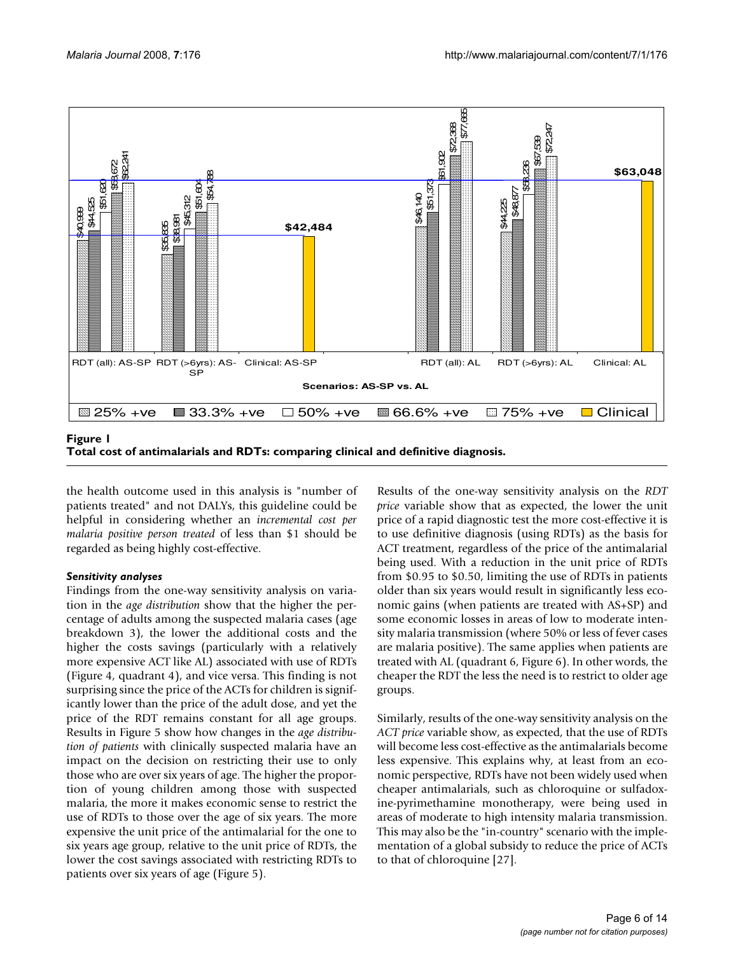



the health outcome used in this analysis is "number of patients treated" and not DALYs, this guideline could be helpful in considering whether an *incremental cost per malaria positive person treated* of less than \$1 should be regarded as being highly cost-effective.

# *Sensitivity analyses*

Findings from the one-way sensitivity analysis on variation in the *age distribution* show that the higher the percentage of adults among the suspected malaria cases (age breakdown 3), the lower the additional costs and the higher the costs savings (particularly with a relatively more expensive ACT like AL) associated with use of RDTs (Figure 4, quadrant 4), and vice versa. This finding is not surprising since the price of the ACTs for children is significantly lower than the price of the adult dose, and yet the price of the RDT remains constant for all age groups. Results in Figure 5 show how changes in the *age distribution of patients* with clinically suspected malaria have an impact on the decision on restricting their use to only those who are over six years of age. The higher the proportion of young children among those with suspected malaria, the more it makes economic sense to restrict the use of RDTs to those over the age of six years. The more expensive the unit price of the antimalarial for the one to six years age group, relative to the unit price of RDTs, the lower the cost savings associated with restricting RDTs to patients over six years of age (Figure 5).

Results of the one-way sensitivity analysis on the *RDT price* variable show that as expected, the lower the unit price of a rapid diagnostic test the more cost-effective it is to use definitive diagnosis (using RDTs) as the basis for ACT treatment, regardless of the price of the antimalarial being used. With a reduction in the unit price of RDTs from \$0.95 to \$0.50, limiting the use of RDTs in patients older than six years would result in significantly less economic gains (when patients are treated with AS+SP) and some economic losses in areas of low to moderate intensity malaria transmission (where 50% or less of fever cases are malaria positive). The same applies when patients are treated with AL (quadrant 6, Figure 6). In other words, the cheaper the RDT the less the need is to restrict to older age groups.

Similarly, results of the one-way sensitivity analysis on the *ACT price* variable show, as expected, that the use of RDTs will become less cost-effective as the antimalarials become less expensive. This explains why, at least from an economic perspective, RDTs have not been widely used when cheaper antimalarials, such as chloroquine or sulfadoxine-pyrimethamine monotherapy, were being used in areas of moderate to high intensity malaria transmission. This may also be the "in-country" scenario with the implementation of a global subsidy to reduce the price of ACTs to that of chloroquine [27].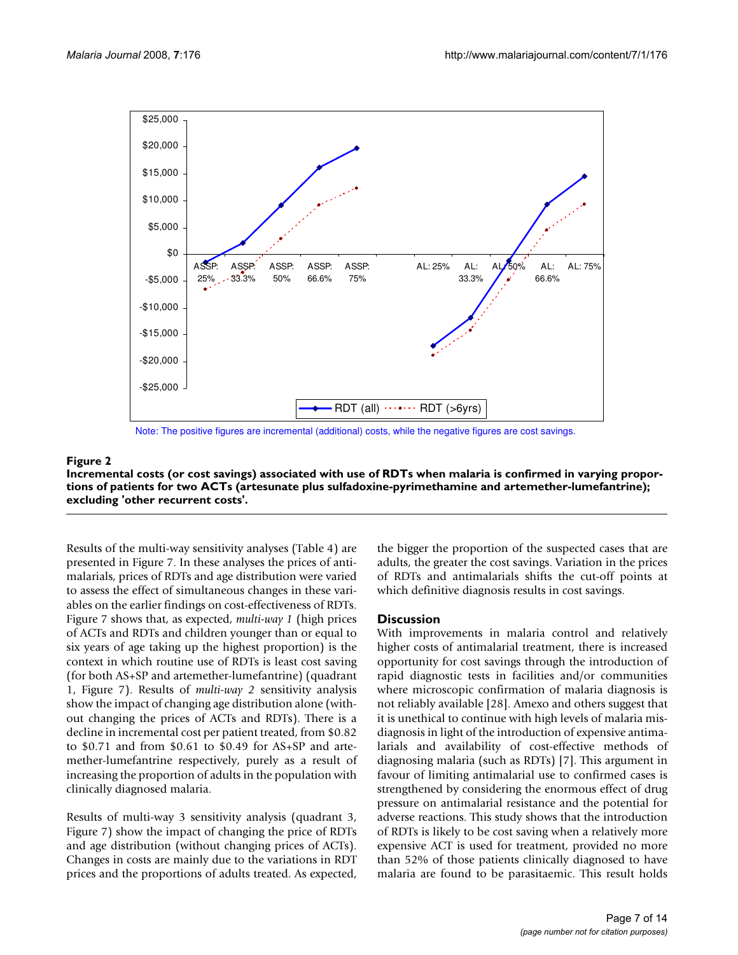

Note: The positive figures are incremental (additional) costs, while the negative figures are cost savings.

#### Figure 2 and 2008 and 2008 and 2008 and 2008 and 2008 and 2008 and 2008 and 2008 and 2008 and 2008 and 2008 an

#### **Incremental costs (or cost savings) associated with use of RDTs when malaria is confirmed in varying proportions of patients for two ACTs (artesunate plus sulfadoxine-pyrimethamine and artemether-lumefantrine); excluding 'other recurrent costs'.**

Results of the multi-way sensitivity analyses (Table 4) are presented in Figure 7. In these analyses the prices of antimalarials, prices of RDTs and age distribution were varied to assess the effect of simultaneous changes in these variables on the earlier findings on cost-effectiveness of RDTs. Figure 7 shows that, as expected, *multi-way 1* (high prices of ACTs and RDTs and children younger than or equal to six years of age taking up the highest proportion) is the context in which routine use of RDTs is least cost saving (for both AS+SP and artemether-lumefantrine) (quadrant 1, Figure 7). Results of *multi-way 2* sensitivity analysis show the impact of changing age distribution alone (without changing the prices of ACTs and RDTs). There is a decline in incremental cost per patient treated, from \$0.82 to \$0.71 and from \$0.61 to \$0.49 for AS+SP and artemether-lumefantrine respectively, purely as a result of increasing the proportion of adults in the population with clinically diagnosed malaria.

Results of multi-way 3 sensitivity analysis (quadrant 3, Figure 7) show the impact of changing the price of RDTs and age distribution (without changing prices of ACTs). Changes in costs are mainly due to the variations in RDT prices and the proportions of adults treated. As expected,

the bigger the proportion of the suspected cases that are adults, the greater the cost savings. Variation in the prices of RDTs and antimalarials shifts the cut-off points at which definitive diagnosis results in cost savings.

#### **Discussion**

With improvements in malaria control and relatively higher costs of antimalarial treatment, there is increased opportunity for cost savings through the introduction of rapid diagnostic tests in facilities and/or communities where microscopic confirmation of malaria diagnosis is not reliably available [28]. Amexo and others suggest that it is unethical to continue with high levels of malaria misdiagnosis in light of the introduction of expensive antimalarials and availability of cost-effective methods of diagnosing malaria (such as RDTs) [7]. This argument in favour of limiting antimalarial use to confirmed cases is strengthened by considering the enormous effect of drug pressure on antimalarial resistance and the potential for adverse reactions. This study shows that the introduction of RDTs is likely to be cost saving when a relatively more expensive ACT is used for treatment, provided no more than 52% of those patients clinically diagnosed to have malaria are found to be parasitaemic. This result holds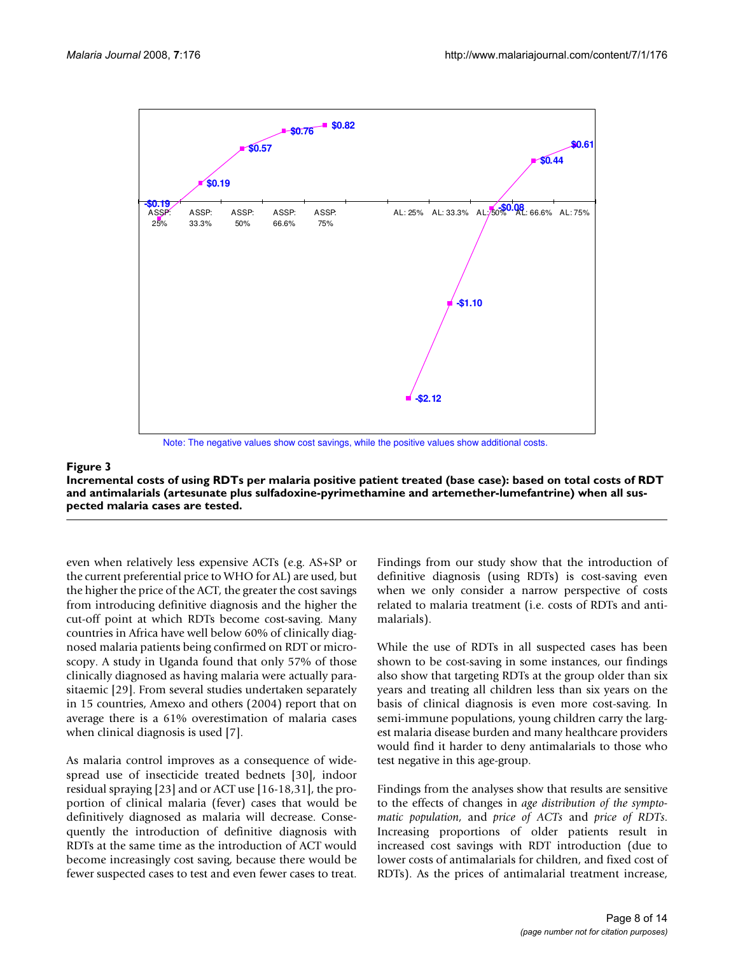

Note: The negative values show cost savings, while the positive values show additional costs.

**Figure 3** Production of the contract of the contract of the contract of the contract of the contract of the contract of the contract of the contract of the contract of the contract of the contract of the contract of the c **Incremental costs of using RDTs per malaria positive patient treated (base case): based on total costs of RDT and antimalarials (artesunate plus sulfadoxine-pyrimethamine and artemether-lumefantrine) when all suspected malaria cases are tested.**

even when relatively less expensive ACTs (e.g. AS+SP or the current preferential price to WHO for AL) are used, but the higher the price of the ACT, the greater the cost savings from introducing definitive diagnosis and the higher the cut-off point at which RDTs become cost-saving. Many countries in Africa have well below 60% of clinically diagnosed malaria patients being confirmed on RDT or microscopy. A study in Uganda found that only 57% of those clinically diagnosed as having malaria were actually parasitaemic [29]. From several studies undertaken separately in 15 countries, Amexo and others (2004) report that on average there is a 61% overestimation of malaria cases when clinical diagnosis is used [7].

As malaria control improves as a consequence of widespread use of insecticide treated bednets [30], indoor residual spraying [23] and or ACT use [16-18,31], the proportion of clinical malaria (fever) cases that would be definitively diagnosed as malaria will decrease. Consequently the introduction of definitive diagnosis with RDTs at the same time as the introduction of ACT would become increasingly cost saving, because there would be fewer suspected cases to test and even fewer cases to treat.

Findings from our study show that the introduction of definitive diagnosis (using RDTs) is cost-saving even when we only consider a narrow perspective of costs related to malaria treatment (i.e. costs of RDTs and antimalarials).

While the use of RDTs in all suspected cases has been shown to be cost-saving in some instances, our findings also show that targeting RDTs at the group older than six years and treating all children less than six years on the basis of clinical diagnosis is even more cost-saving. In semi-immune populations, young children carry the largest malaria disease burden and many healthcare providers would find it harder to deny antimalarials to those who test negative in this age-group.

Findings from the analyses show that results are sensitive to the effects of changes in *age distribution of the symptomatic population*, and *price of ACTs* and *price of RDTs*. Increasing proportions of older patients result in increased cost savings with RDT introduction (due to lower costs of antimalarials for children, and fixed cost of RDTs). As the prices of antimalarial treatment increase,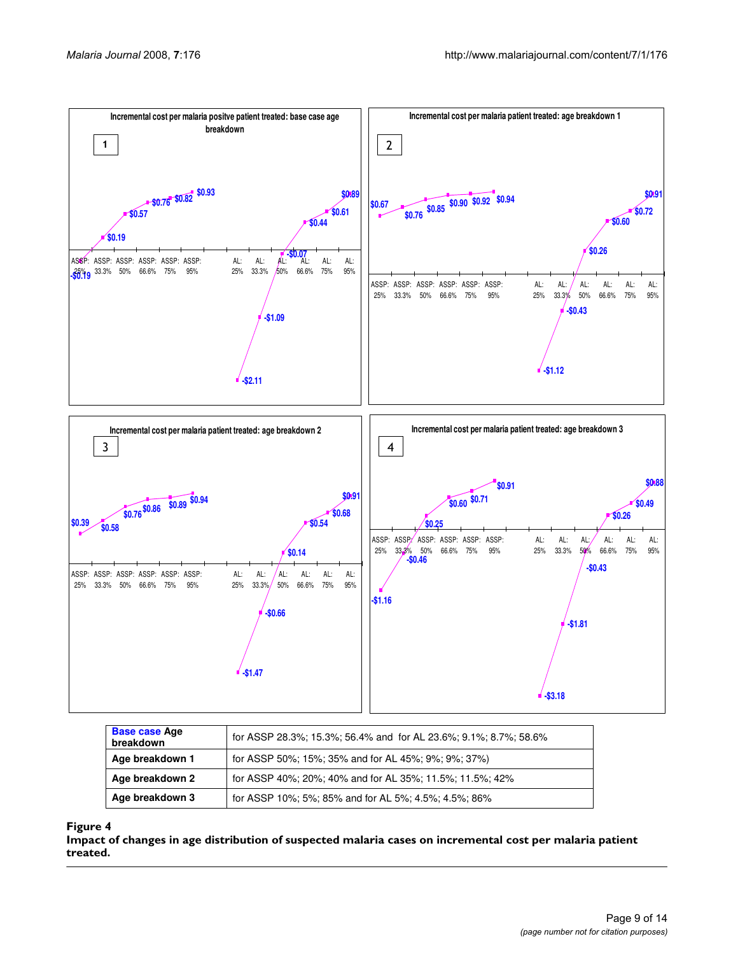

| <b>Base case Age</b><br>breakdown | for ASSP 28.3%; 15.3%; 56.4% and for AL 23.6%; 9.1%; 8.7%; 58.6% |
|-----------------------------------|------------------------------------------------------------------|
| Age breakdown 1                   | for ASSP 50%; 15%; 35% and for AL 45%; 9%; 9%; 37%)              |
| Age breakdown 2                   | for ASSP 40%; 20%; 40% and for AL 35%; 11.5%; 11.5%; 42%         |
| Age breakdown 3                   | for ASSP 10%; 5%; 85% and for AL 5%; 4.5%; 4.5%; 86%             |

#### Impact of changes in age distribution of **Figure 4** suspected malaria cases on incremental cost per malaria patient treated

**Impact of changes in age distribution of suspected malaria cases on incremental cost per malaria patient treated.**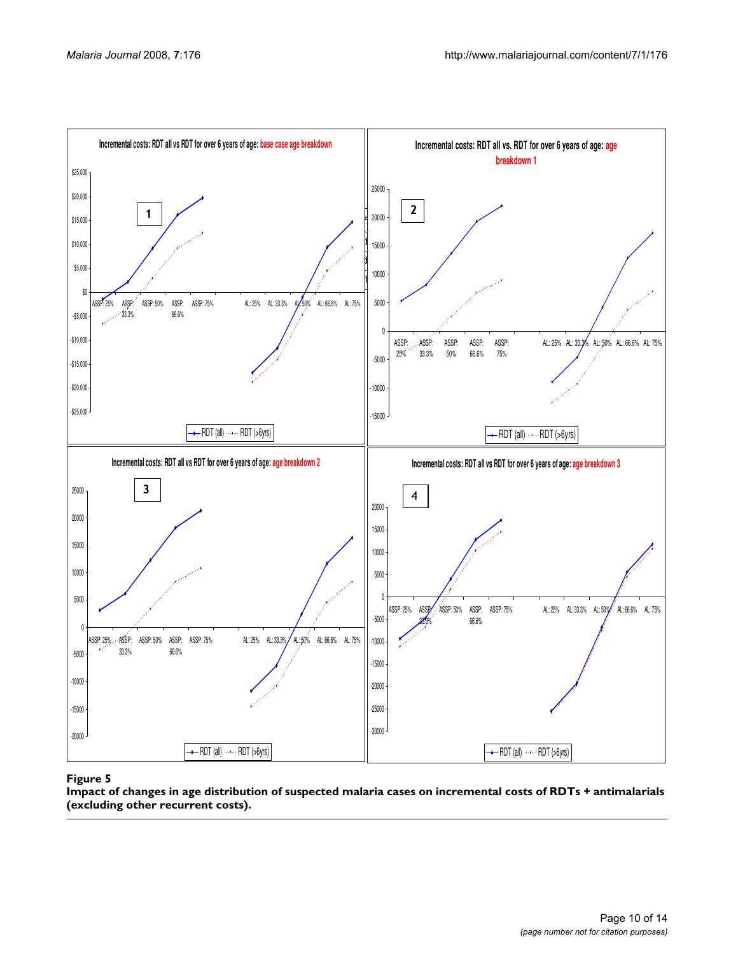

#### Impact of changes in age distribution of su recurrent costs) **Figure 5** spected malaria cases on incremental costs of RDTs + antimalarials (excluding other

**Impact of changes in age distribution of suspected malaria cases on incremental costs of RDTs + antimalarials (excluding other recurrent costs).**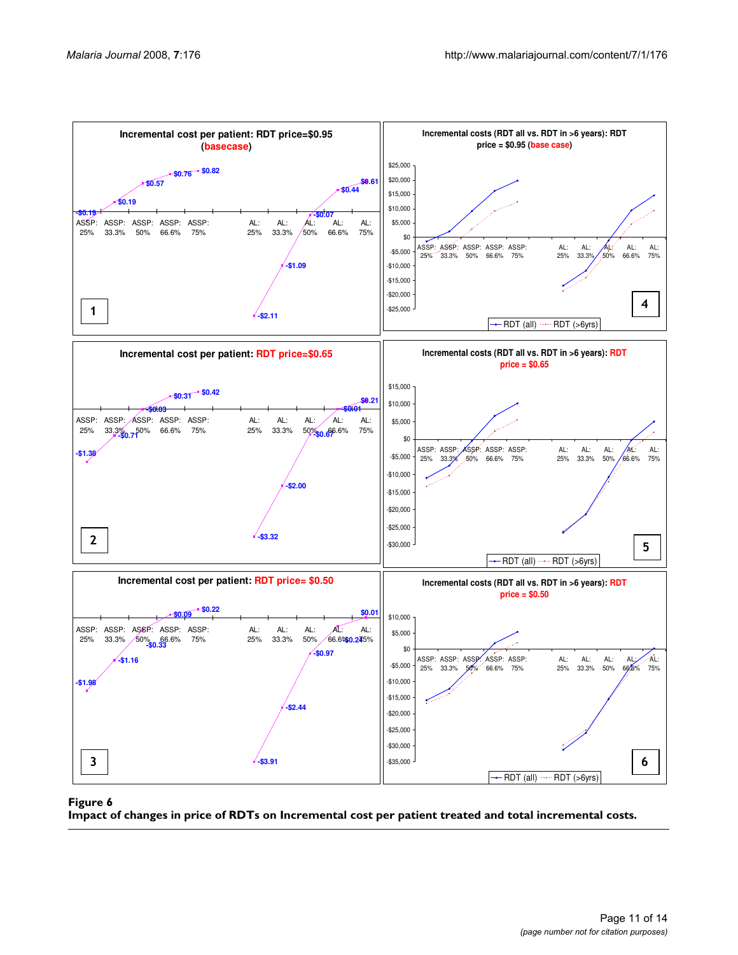

**Figure 6** Impact of changes in price of RDTs on Incremental cost per patient treated and total incremental costs **Impact of changes in price of RDTs on Incremental cost per patient treated and total incremental costs.**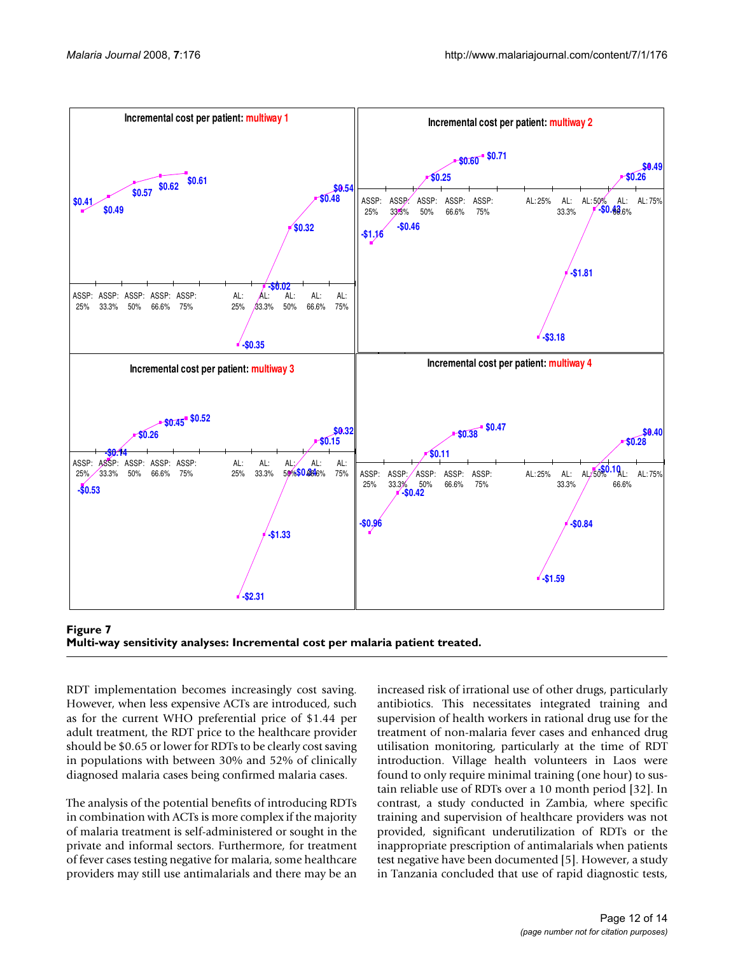



RDT implementation becomes increasingly cost saving. However, when less expensive ACTs are introduced, such as for the current WHO preferential price of \$1.44 per adult treatment, the RDT price to the healthcare provider should be \$0.65 or lower for RDTs to be clearly cost saving in populations with between 30% and 52% of clinically diagnosed malaria cases being confirmed malaria cases.

The analysis of the potential benefits of introducing RDTs in combination with ACTs is more complex if the majority of malaria treatment is self-administered or sought in the private and informal sectors. Furthermore, for treatment of fever cases testing negative for malaria, some healthcare providers may still use antimalarials and there may be an increased risk of irrational use of other drugs, particularly antibiotics. This necessitates integrated training and supervision of health workers in rational drug use for the treatment of non-malaria fever cases and enhanced drug utilisation monitoring, particularly at the time of RDT introduction. Village health volunteers in Laos were found to only require minimal training (one hour) to sustain reliable use of RDTs over a 10 month period [32]. In contrast, a study conducted in Zambia, where specific training and supervision of healthcare providers was not provided, significant underutilization of RDTs or the inappropriate prescription of antimalarials when patients test negative have been documented [5]. However, a study in Tanzania concluded that use of rapid diagnostic tests,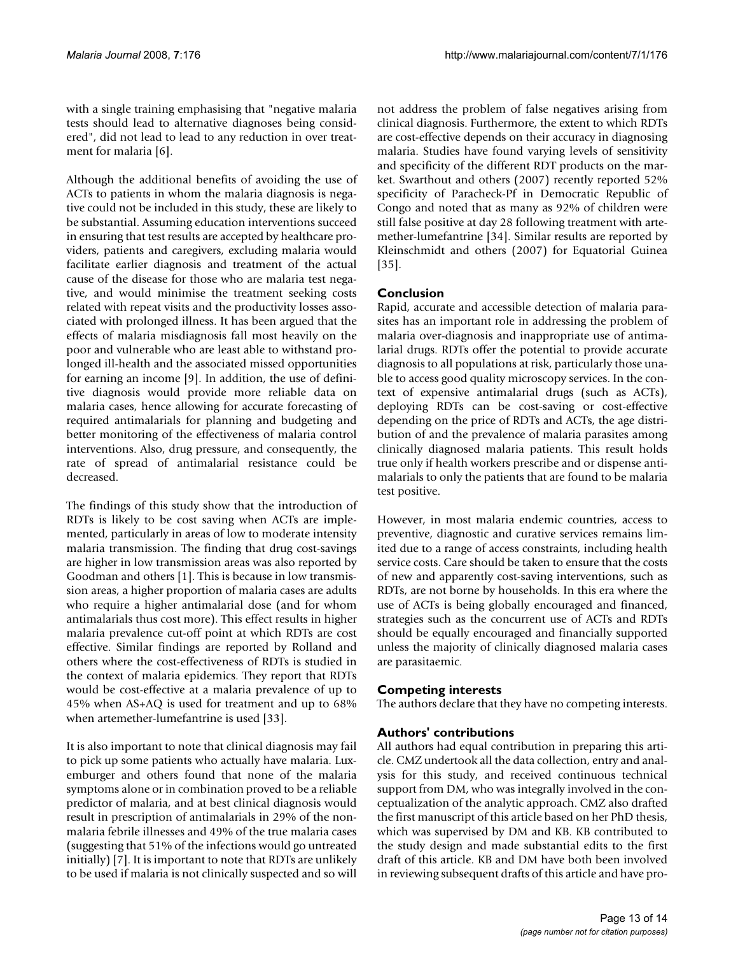with a single training emphasising that "negative malaria tests should lead to alternative diagnoses being considered", did not lead to lead to any reduction in over treatment for malaria [6].

Although the additional benefits of avoiding the use of ACTs to patients in whom the malaria diagnosis is negative could not be included in this study, these are likely to be substantial. Assuming education interventions succeed in ensuring that test results are accepted by healthcare providers, patients and caregivers, excluding malaria would facilitate earlier diagnosis and treatment of the actual cause of the disease for those who are malaria test negative, and would minimise the treatment seeking costs related with repeat visits and the productivity losses associated with prolonged illness. It has been argued that the effects of malaria misdiagnosis fall most heavily on the poor and vulnerable who are least able to withstand prolonged ill-health and the associated missed opportunities for earning an income [9]. In addition, the use of definitive diagnosis would provide more reliable data on malaria cases, hence allowing for accurate forecasting of required antimalarials for planning and budgeting and better monitoring of the effectiveness of malaria control interventions. Also, drug pressure, and consequently, the rate of spread of antimalarial resistance could be decreased.

The findings of this study show that the introduction of RDTs is likely to be cost saving when ACTs are implemented, particularly in areas of low to moderate intensity malaria transmission. The finding that drug cost-savings are higher in low transmission areas was also reported by Goodman and others [1]. This is because in low transmission areas, a higher proportion of malaria cases are adults who require a higher antimalarial dose (and for whom antimalarials thus cost more). This effect results in higher malaria prevalence cut-off point at which RDTs are cost effective. Similar findings are reported by Rolland and others where the cost-effectiveness of RDTs is studied in the context of malaria epidemics. They report that RDTs would be cost-effective at a malaria prevalence of up to 45% when AS+AQ is used for treatment and up to 68% when artemether-lumefantrine is used [33].

It is also important to note that clinical diagnosis may fail to pick up some patients who actually have malaria. Luxemburger and others found that none of the malaria symptoms alone or in combination proved to be a reliable predictor of malaria, and at best clinical diagnosis would result in prescription of antimalarials in 29% of the nonmalaria febrile illnesses and 49% of the true malaria cases (suggesting that 51% of the infections would go untreated initially) [7]. It is important to note that RDTs are unlikely to be used if malaria is not clinically suspected and so will

not address the problem of false negatives arising from clinical diagnosis. Furthermore, the extent to which RDTs are cost-effective depends on their accuracy in diagnosing malaria. Studies have found varying levels of sensitivity and specificity of the different RDT products on the market. Swarthout and others (2007) recently reported 52% specificity of Paracheck-Pf in Democratic Republic of Congo and noted that as many as 92% of children were still false positive at day 28 following treatment with artemether-lumefantrine [34]. Similar results are reported by Kleinschmidt and others (2007) for Equatorial Guinea [35].

### **Conclusion**

Rapid, accurate and accessible detection of malaria parasites has an important role in addressing the problem of malaria over-diagnosis and inappropriate use of antimalarial drugs. RDTs offer the potential to provide accurate diagnosis to all populations at risk, particularly those unable to access good quality microscopy services. In the context of expensive antimalarial drugs (such as ACTs), deploying RDTs can be cost-saving or cost-effective depending on the price of RDTs and ACTs, the age distribution of and the prevalence of malaria parasites among clinically diagnosed malaria patients. This result holds true only if health workers prescribe and or dispense antimalarials to only the patients that are found to be malaria test positive.

However, in most malaria endemic countries, access to preventive, diagnostic and curative services remains limited due to a range of access constraints, including health service costs. Care should be taken to ensure that the costs of new and apparently cost-saving interventions, such as RDTs, are not borne by households. In this era where the use of ACTs is being globally encouraged and financed, strategies such as the concurrent use of ACTs and RDTs should be equally encouraged and financially supported unless the majority of clinically diagnosed malaria cases are parasitaemic.

#### **Competing interests**

The authors declare that they have no competing interests.

#### **Authors' contributions**

All authors had equal contribution in preparing this article. CMZ undertook all the data collection, entry and analysis for this study, and received continuous technical support from DM, who was integrally involved in the conceptualization of the analytic approach. CMZ also drafted the first manuscript of this article based on her PhD thesis, which was supervised by DM and KB. KB contributed to the study design and made substantial edits to the first draft of this article. KB and DM have both been involved in reviewing subsequent drafts of this article and have pro